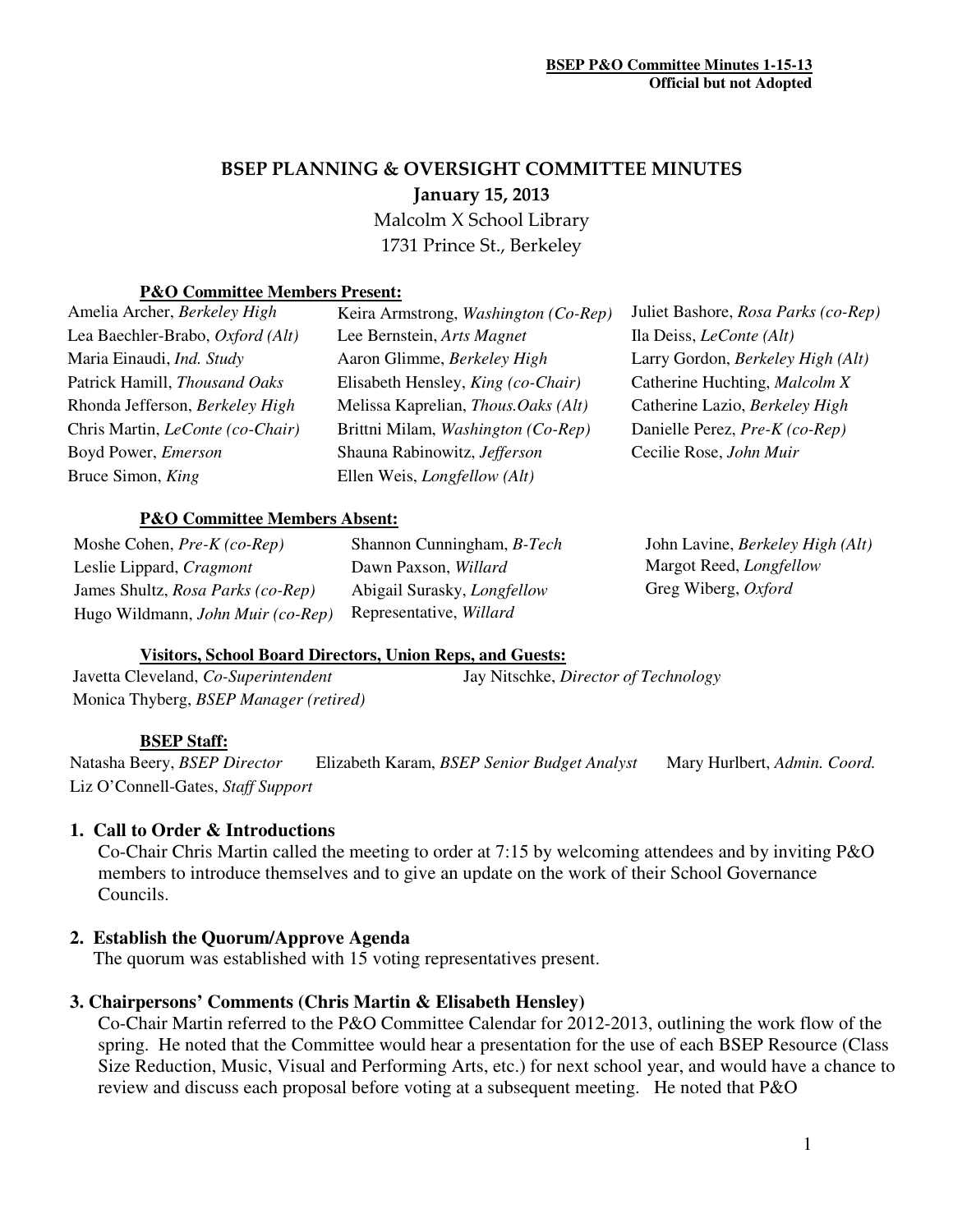# BSEP PLANNING & OVERSIGHT COMMITTEE MINUTES January 15, 2013

 Malcolm X School Library 1731 Prince St., Berkeley

#### **P&O Committee Members Present:**

| Amelia Archer, Berkeley High            | Keira Armstrong, Washington (Co-Rep)       | Juliet Bashore, Rosa Parks (co-Rep) |
|-----------------------------------------|--------------------------------------------|-------------------------------------|
| Lea Baechler-Brabo, Oxford (Alt)        | Lee Bernstein, Arts Magnet                 | Ila Deiss, <i>LeConte</i> (Alt)     |
| Maria Einaudi, Ind. Study               | Aaron Glimme, Berkeley High                | Larry Gordon, Berkeley High (Alt)   |
| Patrick Hamill, Thousand Oaks           | Elisabeth Hensley, King (co-Chair)         | Catherine Huchting, Malcolm X       |
| Rhonda Jefferson, Berkeley High         | Melissa Kaprelian, <i>Thous.Oaks</i> (Alt) | Catherine Lazio, Berkeley High      |
| Chris Martin, <i>LeConte</i> (co-Chair) | Brittni Milam, Washington (Co-Rep)         | Danielle Perez, Pre-K (co-Rep)      |
| Boyd Power, Emerson                     | Shauna Rabinowitz, Jefferson               | Cecilie Rose, John Muir             |
| Bruce Simon, King                       | Ellen Weis, <i>Longfellow</i> (Alt)        |                                     |
|                                         |                                            |                                     |

### **P&O Committee Members Absent:**

Moshe Cohen, *Pre-K (co-Rep)* Shannon Cunningham, *B-Tech* John Lavine, *Berkeley High (Alt)* Leslie Lippard, *Cragmont* Dawn Paxson, *Willard* Margot Reed, *Longfellow* James Shultz, *Rosa Parks (co-Rep)* Abigail Surasky, *Longfellow* Greg Wiberg, *Oxford* Hugo Wildmann, *John Muir (co-Rep)* Representative, *Willard*

#### **Visitors, School Board Directors, Union Reps, and Guests:**

Monica Thyberg, *BSEP Manager (retired)* 

Javetta Cleveland, *Co-Superintendent* Jay Nitschke, *Director of Technology*

#### **BSEP Staff:**

Natasha Beery, *BSEP Director* Elizabeth Karam, *BSEP Senior Budget Analyst* Mary Hurlbert, *Admin. Coord.*  Liz O'Connell-Gates, *Staff Support* 

## **1. Call to Order & Introductions**

Co-Chair Chris Martin called the meeting to order at 7:15 by welcoming attendees and by inviting P&O members to introduce themselves and to give an update on the work of their School Governance Councils.

### **2. Establish the Quorum/Approve Agenda**

The quorum was established with 15 voting representatives present.

### **3. Chairpersons' Comments (Chris Martin & Elisabeth Hensley)**

Co-Chair Martin referred to the P&O Committee Calendar for 2012-2013, outlining the work flow of the spring. He noted that the Committee would hear a presentation for the use of each BSEP Resource (Class Size Reduction, Music, Visual and Performing Arts, etc.) for next school year, and would have a chance to review and discuss each proposal before voting at a subsequent meeting. He noted that P&O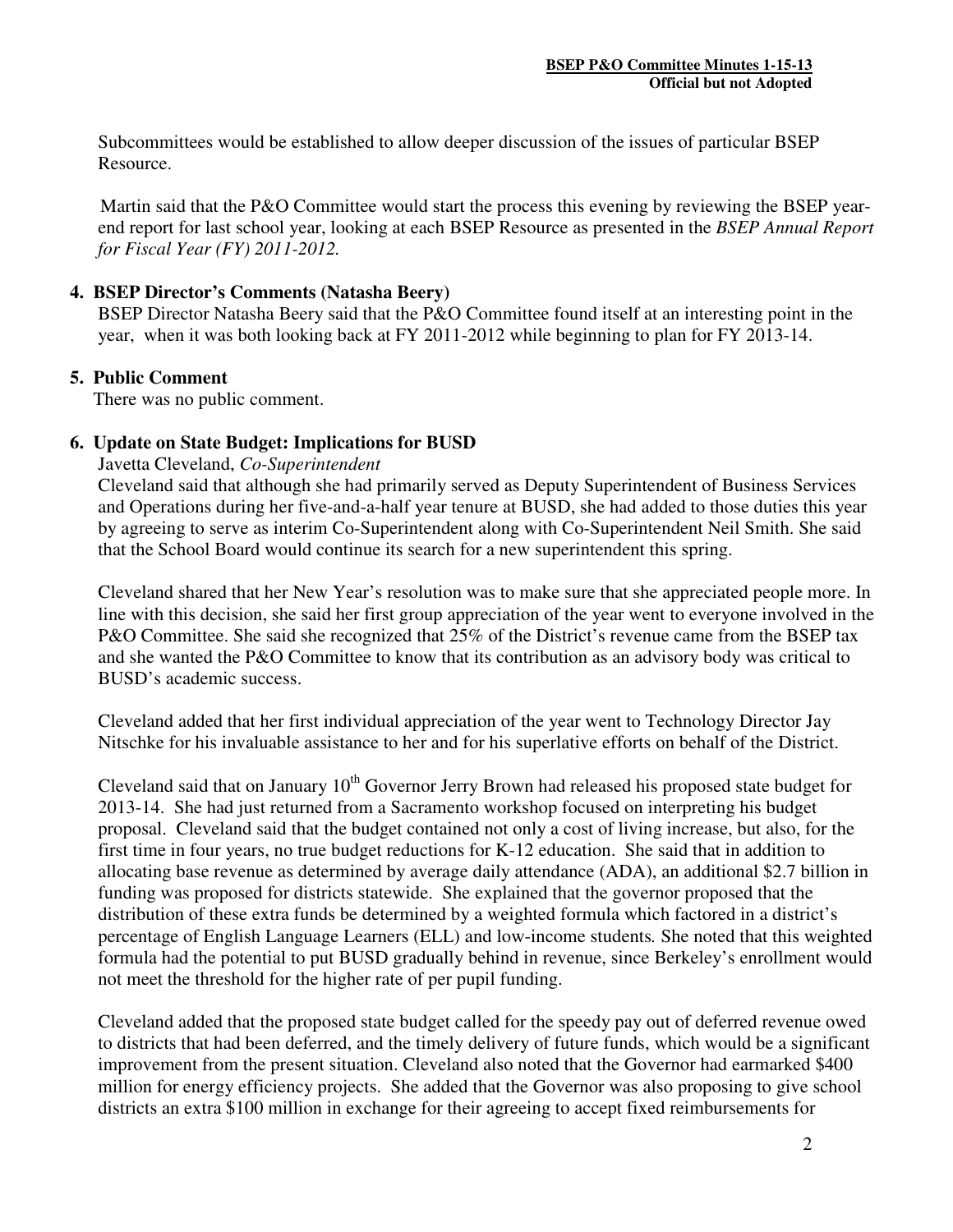Subcommittees would be established to allow deeper discussion of the issues of particular BSEP Resource.

 Martin said that the P&O Committee would start the process this evening by reviewing the BSEP yearend report for last school year, looking at each BSEP Resource as presented in the *BSEP Annual Report for Fiscal Year (FY) 2011-2012.*

#### **4. BSEP Director's Comments (Natasha Beery)**

BSEP Director Natasha Beery said that the P&O Committee found itself at an interesting point in the year, when it was both looking back at FY 2011-2012 while beginning to plan for FY 2013-14.

#### **5. Public Comment**

There was no public comment.

#### **6. Update on State Budget: Implications for BUSD**

Javetta Cleveland, *Co-Superintendent* 

Cleveland said that although she had primarily served as Deputy Superintendent of Business Services and Operations during her five-and-a-half year tenure at BUSD, she had added to those duties this year by agreeing to serve as interim Co-Superintendent along with Co-Superintendent Neil Smith. She said that the School Board would continue its search for a new superintendent this spring.

Cleveland shared that her New Year's resolution was to make sure that she appreciated people more. In line with this decision, she said her first group appreciation of the year went to everyone involved in the P&O Committee. She said she recognized that 25% of the District's revenue came from the BSEP tax and she wanted the P&O Committee to know that its contribution as an advisory body was critical to BUSD's academic success.

Cleveland added that her first individual appreciation of the year went to Technology Director Jay Nitschke for his invaluable assistance to her and for his superlative efforts on behalf of the District.

Cleveland said that on January 10<sup>th</sup> Governor Jerry Brown had released his proposed state budget for 2013-14. She had just returned from a Sacramento workshop focused on interpreting his budget proposal. Cleveland said that the budget contained not only a cost of living increase, but also, for the first time in four years, no true budget reductions for K-12 education. She said that in addition to allocating base revenue as determined by average daily attendance (ADA), an additional \$2.7 billion in funding was proposed for districts statewide. She explained that the governor proposed that the distribution of these extra funds be determined by a weighted formula which factored in a district's percentage of English Language Learners (ELL) and low-income students*.* She noted that this weighted formula had the potential to put BUSD gradually behind in revenue, since Berkeley's enrollment would not meet the threshold for the higher rate of per pupil funding.

Cleveland added that the proposed state budget called for the speedy pay out of deferred revenue owed to districts that had been deferred, and the timely delivery of future funds, which would be a significant improvement from the present situation. Cleveland also noted that the Governor had earmarked \$400 million for energy efficiency projects. She added that the Governor was also proposing to give school districts an extra \$100 million in exchange for their agreeing to accept fixed reimbursements for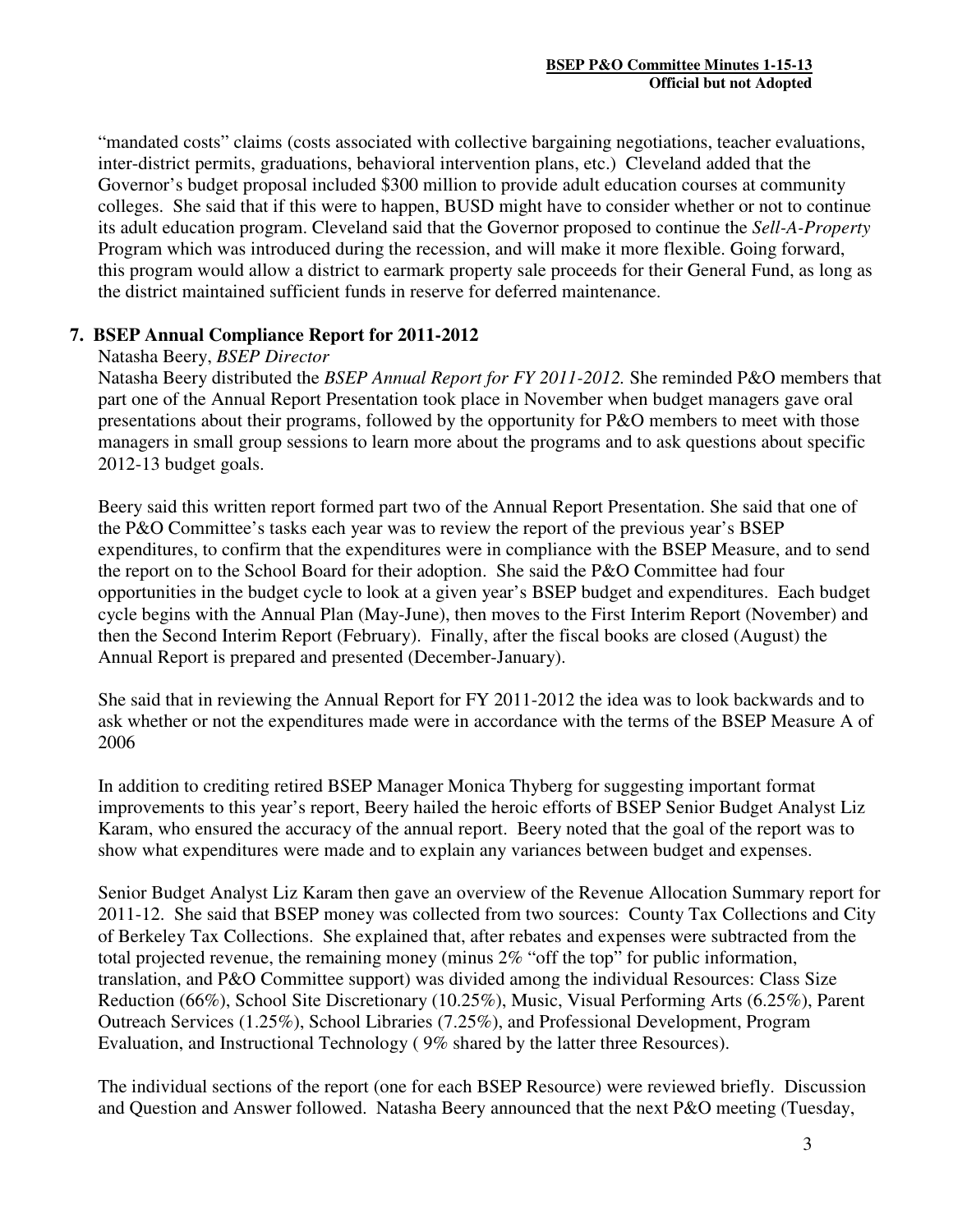"mandated costs" claims (costs associated with collective bargaining negotiations, teacher evaluations, inter-district permits, graduations, behavioral intervention plans, etc.) Cleveland added that the Governor's budget proposal included \$300 million to provide adult education courses at community colleges. She said that if this were to happen, BUSD might have to consider whether or not to continue its adult education program. Cleveland said that the Governor proposed to continue the *Sell-A-Property* Program which was introduced during the recession, and will make it more flexible. Going forward, this program would allow a district to earmark property sale proceeds for their General Fund, as long as the district maintained sufficient funds in reserve for deferred maintenance.

### **7. BSEP Annual Compliance Report for 2011-2012**

#### Natasha Beery, *BSEP Director*

Natasha Beery distributed the *BSEP Annual Report for FY 2011-2012.* She reminded P&O members that part one of the Annual Report Presentation took place in November when budget managers gave oral presentations about their programs, followed by the opportunity for P&O members to meet with those managers in small group sessions to learn more about the programs and to ask questions about specific 2012-13 budget goals.

Beery said this written report formed part two of the Annual Report Presentation. She said that one of the P&O Committee's tasks each year was to review the report of the previous year's BSEP expenditures, to confirm that the expenditures were in compliance with the BSEP Measure, and to send the report on to the School Board for their adoption. She said the P&O Committee had four opportunities in the budget cycle to look at a given year's BSEP budget and expenditures. Each budget cycle begins with the Annual Plan (May-June), then moves to the First Interim Report (November) and then the Second Interim Report (February). Finally, after the fiscal books are closed (August) the Annual Report is prepared and presented (December-January).

She said that in reviewing the Annual Report for FY 2011-2012 the idea was to look backwards and to ask whether or not the expenditures made were in accordance with the terms of the BSEP Measure A of 2006

In addition to crediting retired BSEP Manager Monica Thyberg for suggesting important format improvements to this year's report, Beery hailed the heroic efforts of BSEP Senior Budget Analyst Liz Karam, who ensured the accuracy of the annual report. Beery noted that the goal of the report was to show what expenditures were made and to explain any variances between budget and expenses.

Senior Budget Analyst Liz Karam then gave an overview of the Revenue Allocation Summary report for 2011-12. She said that BSEP money was collected from two sources: County Tax Collections and City of Berkeley Tax Collections. She explained that, after rebates and expenses were subtracted from the total projected revenue, the remaining money (minus 2% "off the top" for public information, translation, and P&O Committee support) was divided among the individual Resources: Class Size Reduction (66%), School Site Discretionary (10.25%), Music, Visual Performing Arts (6.25%), Parent Outreach Services (1.25%), School Libraries (7.25%), and Professional Development, Program Evaluation, and Instructional Technology ( 9% shared by the latter three Resources).

The individual sections of the report (one for each BSEP Resource) were reviewed briefly. Discussion and Question and Answer followed. Natasha Beery announced that the next P&O meeting (Tuesday,